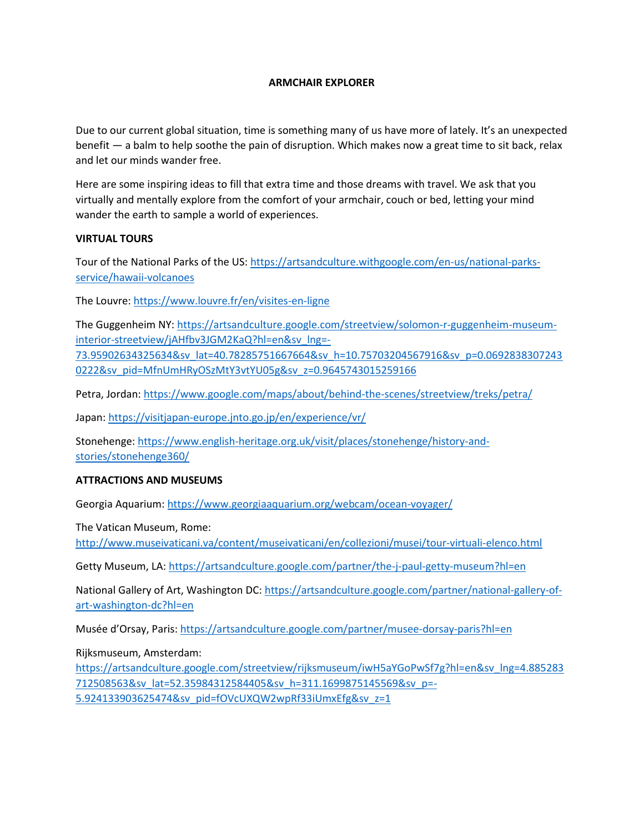## **ARMCHAIR EXPLORER**

Due to our current global situation, time is something many of us have more of lately. It's an unexpected benefit — a balm to help soothe the pain of disruption. Which makes now a great time to sit back, relax and let our minds wander free.

Here are some inspiring ideas to fill that extra time and those dreams with travel. We ask that you virtually and mentally explore from the comfort of your armchair, couch or bed, letting your mind wander the earth to sample a world of experiences.

## **VIRTUAL TOURS**

Tour of the National Parks of the US: [https://artsandculture.withgoogle.com/en-us/national-parks](https://artsandculture.withgoogle.com/en-us/national-parks-service/hawaii-volcanoes)[service/hawaii-volcanoes](https://artsandculture.withgoogle.com/en-us/national-parks-service/hawaii-volcanoes)

The Louvre:<https://www.louvre.fr/en/visites-en-ligne>

The Guggenheim NY: [https://artsandculture.google.com/streetview/solomon-r-guggenheim-museum](https://artsandculture.google.com/streetview/solomon-r-guggenheim-museum-interior-streetview/jAHfbv3JGM2KaQ?hl=en&sv_lng=-73.95902634325634&sv_lat=40.78285751667664&sv_h=10.75703204567916&sv_p=0.06928383072430222&sv_pid=MfnUmHRyOSzMtY3vtYU05g&sv_z=0.9645743015259166)[interior-streetview/jAHfbv3JGM2KaQ?hl=en&sv\\_lng=-](https://artsandculture.google.com/streetview/solomon-r-guggenheim-museum-interior-streetview/jAHfbv3JGM2KaQ?hl=en&sv_lng=-73.95902634325634&sv_lat=40.78285751667664&sv_h=10.75703204567916&sv_p=0.06928383072430222&sv_pid=MfnUmHRyOSzMtY3vtYU05g&sv_z=0.9645743015259166) [73.95902634325634&sv\\_lat=40.78285751667664&sv\\_h=10.75703204567916&sv\\_p=0.0692838307243](https://artsandculture.google.com/streetview/solomon-r-guggenheim-museum-interior-streetview/jAHfbv3JGM2KaQ?hl=en&sv_lng=-73.95902634325634&sv_lat=40.78285751667664&sv_h=10.75703204567916&sv_p=0.06928383072430222&sv_pid=MfnUmHRyOSzMtY3vtYU05g&sv_z=0.9645743015259166) [0222&sv\\_pid=MfnUmHRyOSzMtY3vtYU05g&sv\\_z=0.9645743015259166](https://artsandculture.google.com/streetview/solomon-r-guggenheim-museum-interior-streetview/jAHfbv3JGM2KaQ?hl=en&sv_lng=-73.95902634325634&sv_lat=40.78285751667664&sv_h=10.75703204567916&sv_p=0.06928383072430222&sv_pid=MfnUmHRyOSzMtY3vtYU05g&sv_z=0.9645743015259166)

Petra, Jordan[: https://www.google.com/maps/about/behind-the-scenes/streetview/treks/petra/](https://www.google.com/maps/about/behind-the-scenes/streetview/treks/petra/)

Japan:<https://visitjapan-europe.jnto.go.jp/en/experience/vr/>

Stonehenge: [https://www.english-heritage.org.uk/visit/places/stonehenge/history-and](https://www.english-heritage.org.uk/visit/places/stonehenge/history-and-stories/stonehenge360/)[stories/stonehenge360/](https://www.english-heritage.org.uk/visit/places/stonehenge/history-and-stories/stonehenge360/)

## **ATTRACTIONS AND MUSEUMS**

Georgia Aquarium:<https://www.georgiaaquarium.org/webcam/ocean-voyager/>

The Vatican Museum, Rome:

<http://www.museivaticani.va/content/museivaticani/en/collezioni/musei/tour-virtuali-elenco.html>

Getty Museum, LA:<https://artsandculture.google.com/partner/the-j-paul-getty-museum?hl=en>

National Gallery of Art, Washington DC[: https://artsandculture.google.com/partner/national-gallery-of](https://artsandculture.google.com/partner/national-gallery-of-art-washington-dc?hl=en)[art-washington-dc?hl=en](https://artsandculture.google.com/partner/national-gallery-of-art-washington-dc?hl=en)

Musée d'Orsay, Paris[: https://artsandculture.google.com/partner/musee-dorsay-paris?hl=en](https://artsandculture.google.com/partner/musee-dorsay-paris?hl=en)

Rijksmuseum, Amsterdam:

[https://artsandculture.google.com/streetview/rijksmuseum/iwH5aYGoPwSf7g?hl=en&sv\\_lng=4.885283](https://artsandculture.google.com/streetview/rijksmuseum/iwH5aYGoPwSf7g?hl=en&sv_lng=4.885283712508563&sv_lat=52.35984312584405&sv_h=311.1699875145569&sv_p=-5.924133903625474&sv_pid=fOVcUXQW2wpRf33iUmxEfg&sv_z=1) [712508563&sv\\_lat=52.35984312584405&sv\\_h=311.1699875145569&sv\\_p=-](https://artsandculture.google.com/streetview/rijksmuseum/iwH5aYGoPwSf7g?hl=en&sv_lng=4.885283712508563&sv_lat=52.35984312584405&sv_h=311.1699875145569&sv_p=-5.924133903625474&sv_pid=fOVcUXQW2wpRf33iUmxEfg&sv_z=1) [5.924133903625474&sv\\_pid=fOVcUXQW2wpRf33iUmxEfg&sv\\_z=1](https://artsandculture.google.com/streetview/rijksmuseum/iwH5aYGoPwSf7g?hl=en&sv_lng=4.885283712508563&sv_lat=52.35984312584405&sv_h=311.1699875145569&sv_p=-5.924133903625474&sv_pid=fOVcUXQW2wpRf33iUmxEfg&sv_z=1)